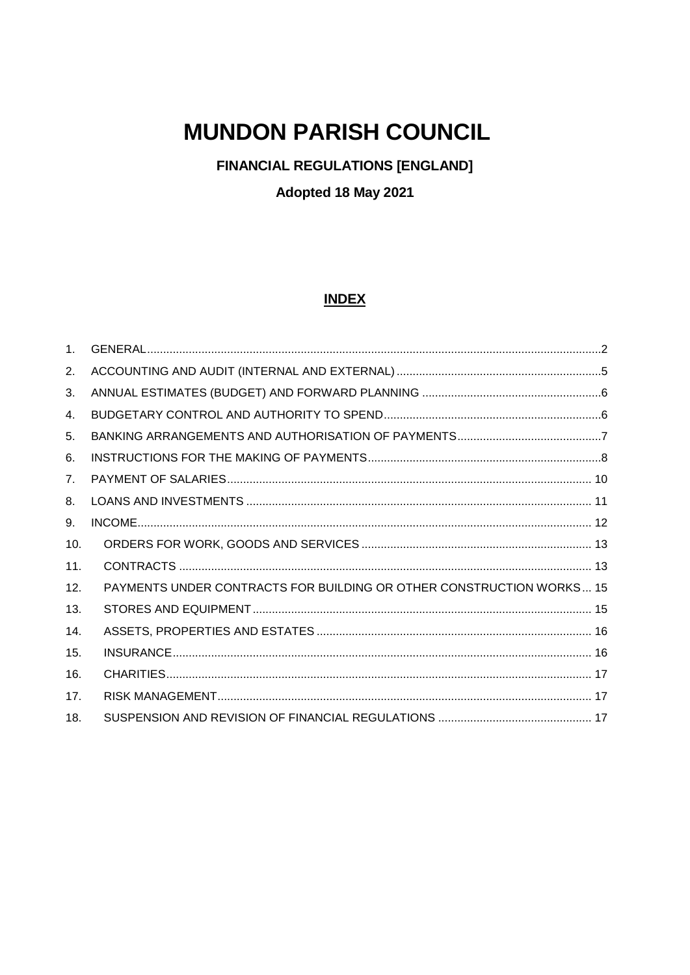# **MUNDON PARISH COUNCIL**

**FINANCIAL REGULATIONS [ENGLAND]** 

Adopted 18 May 2021

#### **INDEX**

| 1 <sub>1</sub> |                                                                      |  |
|----------------|----------------------------------------------------------------------|--|
| 2.             |                                                                      |  |
| 3.             |                                                                      |  |
| 4.             |                                                                      |  |
| 5.             |                                                                      |  |
| 6.             |                                                                      |  |
| 7 <sub>1</sub> |                                                                      |  |
| 8.             |                                                                      |  |
| 9.             |                                                                      |  |
| 10.            |                                                                      |  |
| 11.            |                                                                      |  |
| 12.            | PAYMENTS UNDER CONTRACTS FOR BUILDING OR OTHER CONSTRUCTION WORKS 15 |  |
| 13.            |                                                                      |  |
| 14.            |                                                                      |  |
| 15.            |                                                                      |  |
| 16.            |                                                                      |  |
| 17.            |                                                                      |  |
| 18.            |                                                                      |  |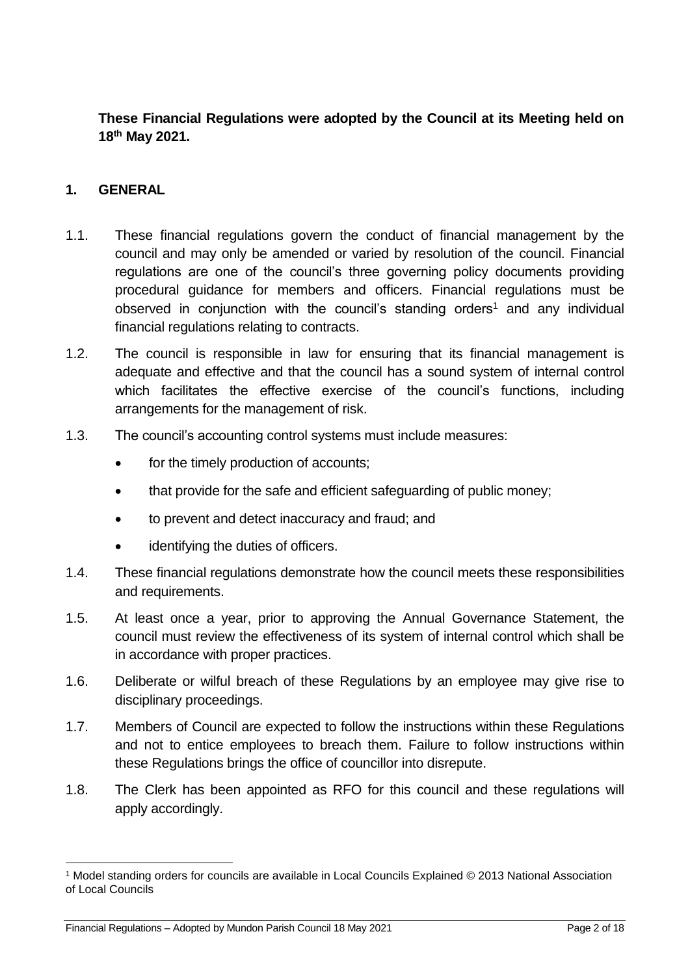**These Financial Regulations were adopted by the Council at its Meeting held on 18th May 2021.**

#### <span id="page-1-0"></span>**1. GENERAL**

- 1.1. These financial regulations govern the conduct of financial management by the council and may only be amended or varied by resolution of the council. Financial regulations are one of the council's three governing policy documents providing procedural guidance for members and officers. Financial regulations must be observed in conjunction with the council's standing orders<sup>1</sup> and any individual financial regulations relating to contracts.
- 1.2. The council is responsible in law for ensuring that its financial management is adequate and effective and that the council has a sound system of internal control which facilitates the effective exercise of the council's functions, including arrangements for the management of risk.
- 1.3. The council's accounting control systems must include measures:
	- for the timely production of accounts;
	- that provide for the safe and efficient safeguarding of public money;
	- to prevent and detect inaccuracy and fraud; and
	- identifying the duties of officers.
- 1.4. These financial regulations demonstrate how the council meets these responsibilities and requirements.
- 1.5. At least once a year, prior to approving the Annual Governance Statement, the council must review the effectiveness of its system of internal control which shall be in accordance with proper practices.
- 1.6. Deliberate or wilful breach of these Regulations by an employee may give rise to disciplinary proceedings.
- 1.7. Members of Council are expected to follow the instructions within these Regulations and not to entice employees to breach them. Failure to follow instructions within these Regulations brings the office of councillor into disrepute.
- 1.8. The Clerk has been appointed as RFO for this council and these regulations will apply accordingly.

1

<sup>1</sup> Model standing orders for councils are available in Local Councils Explained © 2013 National Association of Local Councils

Financial Regulations – Adopted by Mundon Parish Council 18 May 2021 Page 2 of 18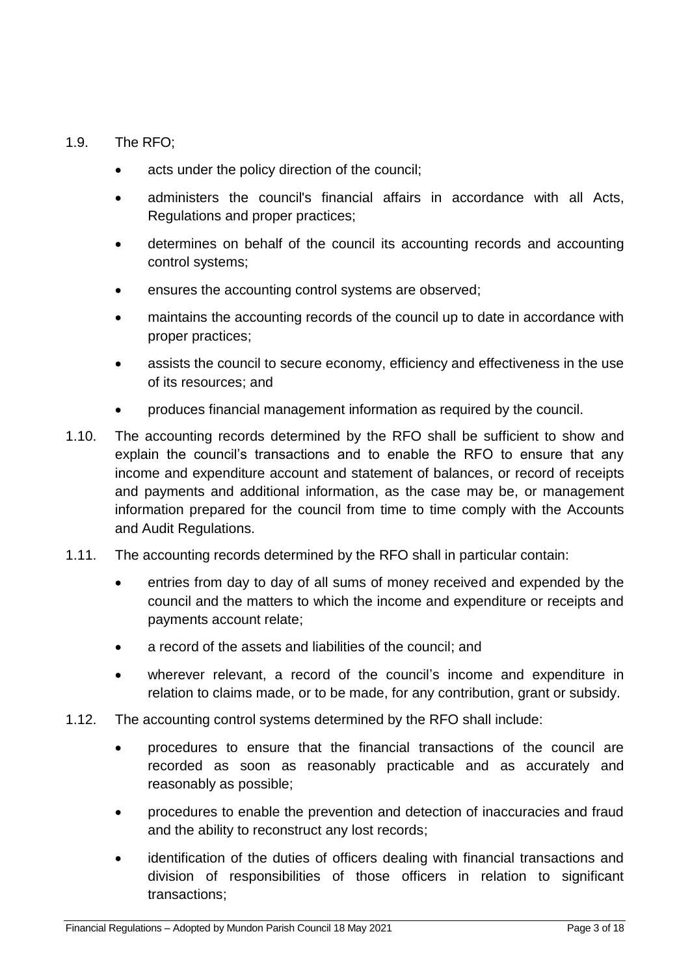#### 1.9. The RFO;

- acts under the policy direction of the council;
- administers the council's financial affairs in accordance with all Acts, Regulations and proper practices;
- determines on behalf of the council its accounting records and accounting control systems;
- ensures the accounting control systems are observed;
- maintains the accounting records of the council up to date in accordance with proper practices;
- assists the council to secure economy, efficiency and effectiveness in the use of its resources; and
- produces financial management information as required by the council.
- 1.10. The accounting records determined by the RFO shall be sufficient to show and explain the council's transactions and to enable the RFO to ensure that any income and expenditure account and statement of balances, or record of receipts and payments and additional information, as the case may be, or management information prepared for the council from time to time comply with the Accounts and Audit Regulations.
- 1.11. The accounting records determined by the RFO shall in particular contain:
	- entries from day to day of all sums of money received and expended by the council and the matters to which the income and expenditure or receipts and payments account relate;
	- a record of the assets and liabilities of the council; and
	- wherever relevant, a record of the council's income and expenditure in relation to claims made, or to be made, for any contribution, grant or subsidy.
- 1.12. The accounting control systems determined by the RFO shall include:
	- procedures to ensure that the financial transactions of the council are recorded as soon as reasonably practicable and as accurately and reasonably as possible;
	- procedures to enable the prevention and detection of inaccuracies and fraud and the ability to reconstruct any lost records;
	- identification of the duties of officers dealing with financial transactions and division of responsibilities of those officers in relation to significant transactions;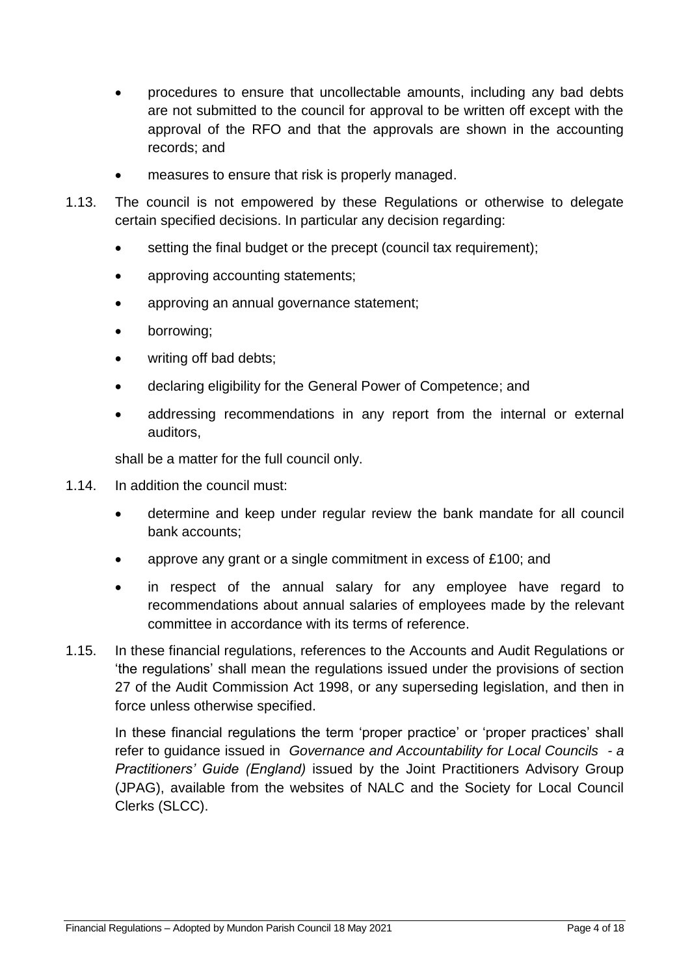- procedures to ensure that uncollectable amounts, including any bad debts are not submitted to the council for approval to be written off except with the approval of the RFO and that the approvals are shown in the accounting records; and
- measures to ensure that risk is properly managed.
- 1.13. The council is not empowered by these Regulations or otherwise to delegate certain specified decisions. In particular any decision regarding:
	- setting the final budget or the precept (council tax requirement);
	- approving accounting statements;
	- approving an annual governance statement;
	- borrowing;
	- writing off bad debts;
	- declaring eligibility for the General Power of Competence; and
	- addressing recommendations in any report from the internal or external auditors,

shall be a matter for the full council only.

- 1.14. In addition the council must:
	- determine and keep under regular review the bank mandate for all council bank accounts;
	- approve any grant or a single commitment in excess of £100; and
	- in respect of the annual salary for any employee have regard to recommendations about annual salaries of employees made by the relevant committee in accordance with its terms of reference.
- 1.15. In these financial regulations, references to the Accounts and Audit Regulations or 'the regulations' shall mean the regulations issued under the provisions of section 27 of the Audit Commission Act 1998, or any superseding legislation, and then in force unless otherwise specified.

In these financial regulations the term 'proper practice' or 'proper practices' shall refer to guidance issued in *Governance and Accountability for Local Councils - a Practitioners' Guide (England)* issued by the Joint Practitioners Advisory Group (JPAG), available from the websites of NALC and the Society for Local Council Clerks (SLCC).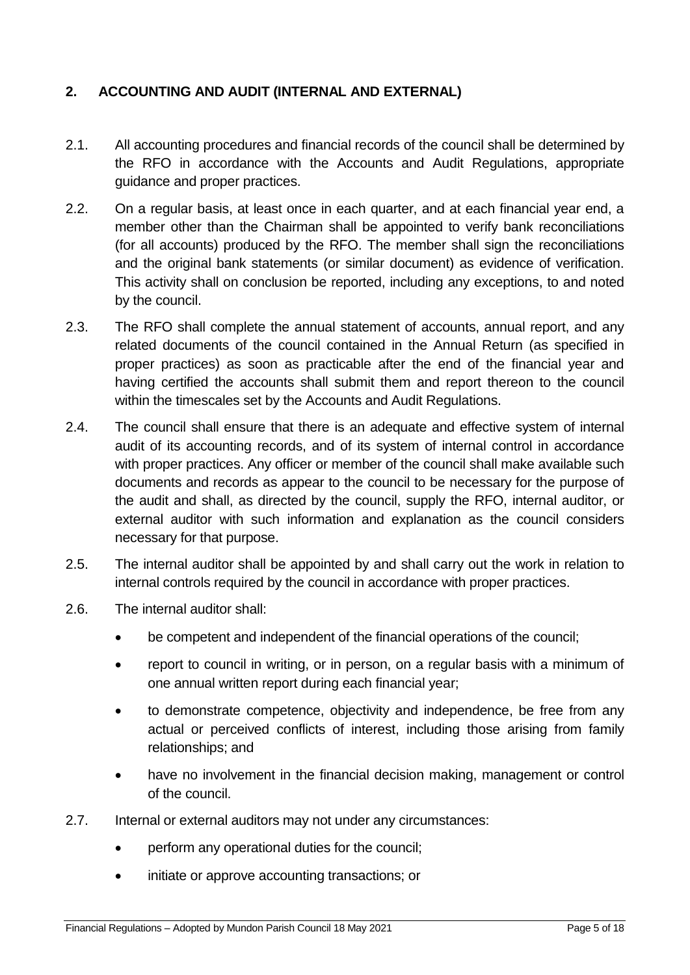## <span id="page-4-0"></span>**2. ACCOUNTING AND AUDIT (INTERNAL AND EXTERNAL)**

- 2.1. All accounting procedures and financial records of the council shall be determined by the RFO in accordance with the Accounts and Audit Regulations, appropriate guidance and proper practices.
- 2.2. On a regular basis, at least once in each quarter, and at each financial year end, a member other than the Chairman shall be appointed to verify bank reconciliations (for all accounts) produced by the RFO. The member shall sign the reconciliations and the original bank statements (or similar document) as evidence of verification. This activity shall on conclusion be reported, including any exceptions, to and noted by the council.
- 2.3. The RFO shall complete the annual statement of accounts, annual report, and any related documents of the council contained in the Annual Return (as specified in proper practices) as soon as practicable after the end of the financial year and having certified the accounts shall submit them and report thereon to the council within the timescales set by the Accounts and Audit Regulations.
- 2.4. The council shall ensure that there is an adequate and effective system of internal audit of its accounting records, and of its system of internal control in accordance with proper practices. Any officer or member of the council shall make available such documents and records as appear to the council to be necessary for the purpose of the audit and shall, as directed by the council, supply the RFO, internal auditor, or external auditor with such information and explanation as the council considers necessary for that purpose.
- 2.5. The internal auditor shall be appointed by and shall carry out the work in relation to internal controls required by the council in accordance with proper practices.
- 2.6. The internal auditor shall:
	- be competent and independent of the financial operations of the council;
	- report to council in writing, or in person, on a regular basis with a minimum of one annual written report during each financial year;
	- to demonstrate competence, objectivity and independence, be free from any actual or perceived conflicts of interest, including those arising from family relationships; and
	- have no involvement in the financial decision making, management or control of the council.
- 2.7. Internal or external auditors may not under any circumstances:
	- perform any operational duties for the council;
	- initiate or approve accounting transactions; or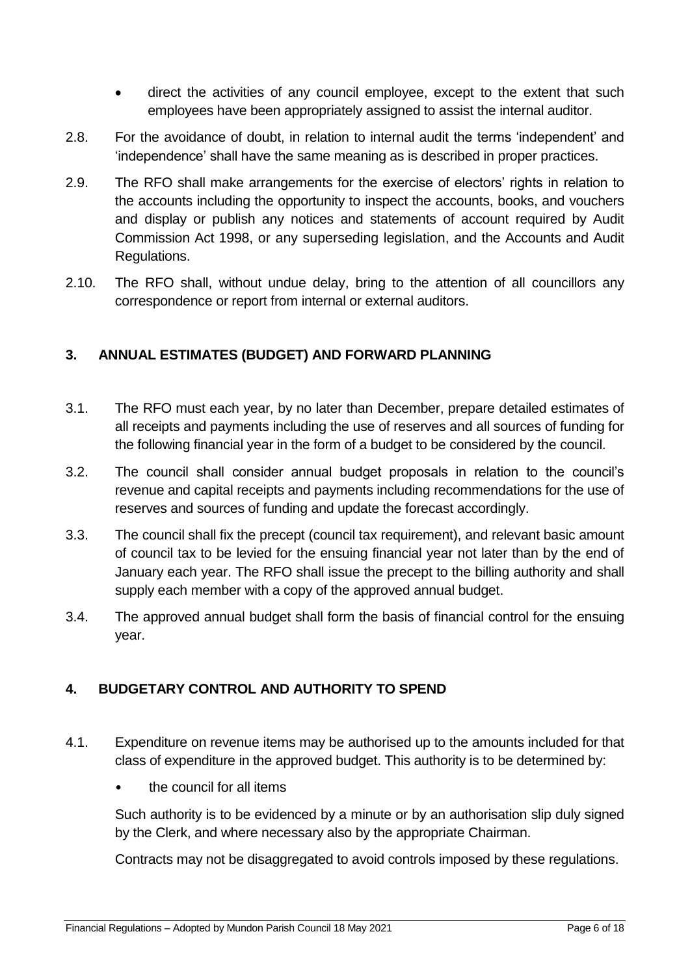- direct the activities of any council employee, except to the extent that such employees have been appropriately assigned to assist the internal auditor.
- 2.8. For the avoidance of doubt, in relation to internal audit the terms 'independent' and 'independence' shall have the same meaning as is described in proper practices.
- 2.9. The RFO shall make arrangements for the exercise of electors' rights in relation to the accounts including the opportunity to inspect the accounts, books, and vouchers and display or publish any notices and statements of account required by Audit Commission Act 1998, or any superseding legislation, and the Accounts and Audit Regulations.
- 2.10. The RFO shall, without undue delay, bring to the attention of all councillors any correspondence or report from internal or external auditors.

## <span id="page-5-0"></span>**3. ANNUAL ESTIMATES (BUDGET) AND FORWARD PLANNING**

- 3.1. The RFO must each year, by no later than December, prepare detailed estimates of all receipts and payments including the use of reserves and all sources of funding for the following financial year in the form of a budget to be considered by the council.
- 3.2. The council shall consider annual budget proposals in relation to the council's revenue and capital receipts and payments including recommendations for the use of reserves and sources of funding and update the forecast accordingly.
- 3.3. The council shall fix the precept (council tax requirement), and relevant basic amount of council tax to be levied for the ensuing financial year not later than by the end of January each year. The RFO shall issue the precept to the billing authority and shall supply each member with a copy of the approved annual budget.
- 3.4. The approved annual budget shall form the basis of financial control for the ensuing year.

## <span id="page-5-1"></span>**4. BUDGETARY CONTROL AND AUTHORITY TO SPEND**

- 4.1. Expenditure on revenue items may be authorised up to the amounts included for that class of expenditure in the approved budget. This authority is to be determined by:
	- the council for all items

Such authority is to be evidenced by a minute or by an authorisation slip duly signed by the Clerk, and where necessary also by the appropriate Chairman.

Contracts may not be disaggregated to avoid controls imposed by these regulations.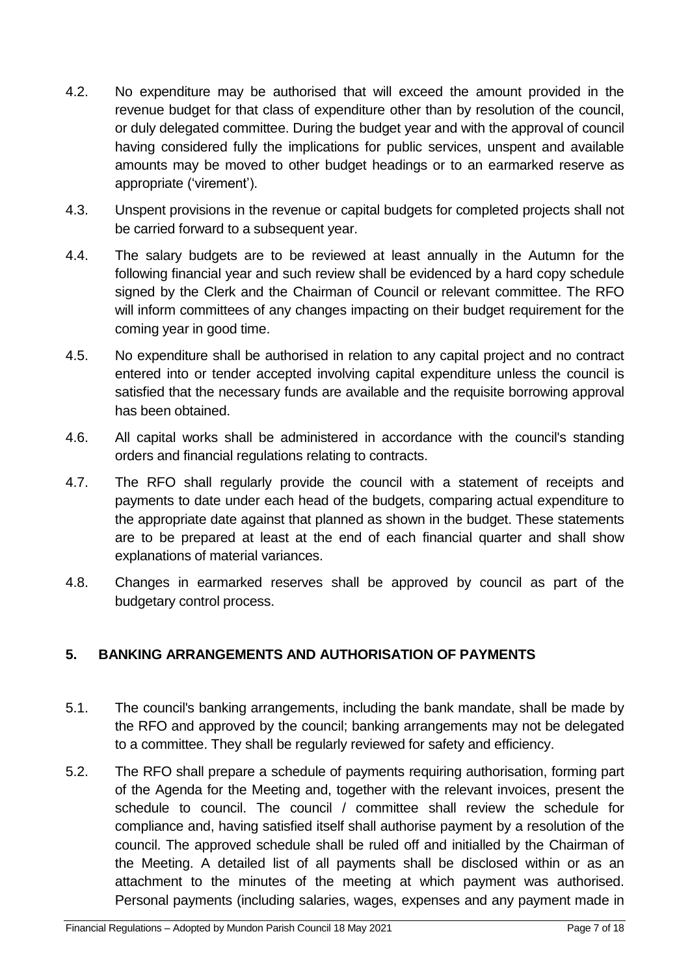- 4.2. No expenditure may be authorised that will exceed the amount provided in the revenue budget for that class of expenditure other than by resolution of the council, or duly delegated committee. During the budget year and with the approval of council having considered fully the implications for public services, unspent and available amounts may be moved to other budget headings or to an earmarked reserve as appropriate ('virement').
- 4.3. Unspent provisions in the revenue or capital budgets for completed projects shall not be carried forward to a subsequent year.
- 4.4. The salary budgets are to be reviewed at least annually in the Autumn for the following financial year and such review shall be evidenced by a hard copy schedule signed by the Clerk and the Chairman of Council or relevant committee. The RFO will inform committees of any changes impacting on their budget requirement for the coming year in good time.
- 4.5. No expenditure shall be authorised in relation to any capital project and no contract entered into or tender accepted involving capital expenditure unless the council is satisfied that the necessary funds are available and the requisite borrowing approval has been obtained.
- 4.6. All capital works shall be administered in accordance with the council's standing orders and financial regulations relating to contracts.
- 4.7. The RFO shall regularly provide the council with a statement of receipts and payments to date under each head of the budgets, comparing actual expenditure to the appropriate date against that planned as shown in the budget. These statements are to be prepared at least at the end of each financial quarter and shall show explanations of material variances.
- 4.8. Changes in earmarked reserves shall be approved by council as part of the budgetary control process.

## <span id="page-6-0"></span>**5. BANKING ARRANGEMENTS AND AUTHORISATION OF PAYMENTS**

- 5.1. The council's banking arrangements, including the bank mandate, shall be made by the RFO and approved by the council; banking arrangements may not be delegated to a committee. They shall be regularly reviewed for safety and efficiency.
- 5.2. The RFO shall prepare a schedule of payments requiring authorisation, forming part of the Agenda for the Meeting and, together with the relevant invoices, present the schedule to council. The council / committee shall review the schedule for compliance and, having satisfied itself shall authorise payment by a resolution of the council. The approved schedule shall be ruled off and initialled by the Chairman of the Meeting. A detailed list of all payments shall be disclosed within or as an attachment to the minutes of the meeting at which payment was authorised. Personal payments (including salaries, wages, expenses and any payment made in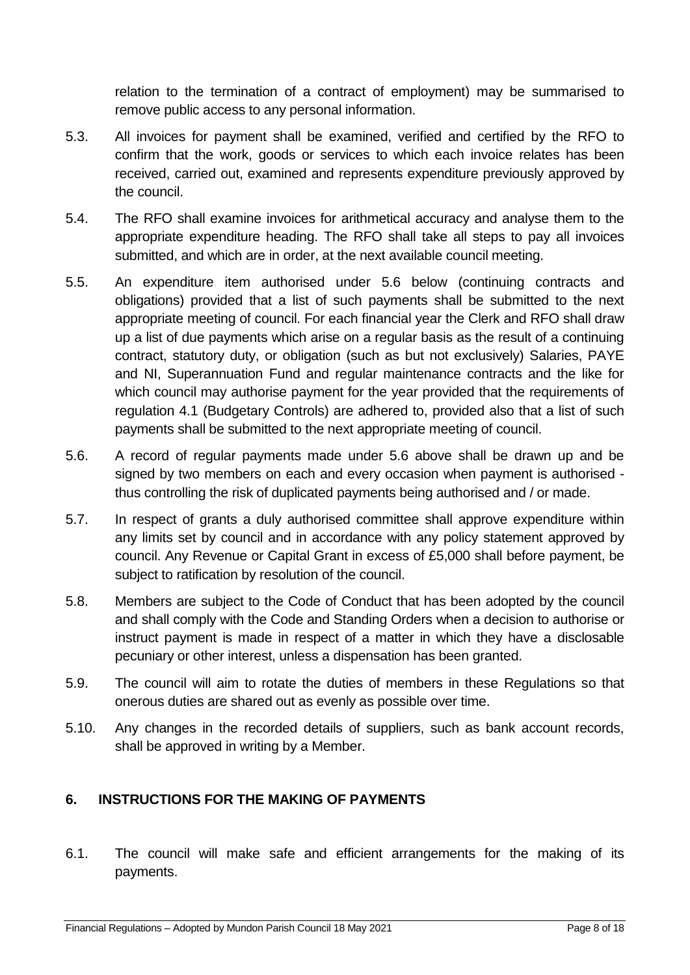relation to the termination of a contract of employment) may be summarised to remove public access to any personal information.

- 5.3. All invoices for payment shall be examined, verified and certified by the RFO to confirm that the work, goods or services to which each invoice relates has been received, carried out, examined and represents expenditure previously approved by the council.
- 5.4. The RFO shall examine invoices for arithmetical accuracy and analyse them to the appropriate expenditure heading. The RFO shall take all steps to pay all invoices submitted, and which are in order, at the next available council meeting.
- 5.5. An expenditure item authorised under 5.6 below (continuing contracts and obligations) provided that a list of such payments shall be submitted to the next appropriate meeting of council. For each financial year the Clerk and RFO shall draw up a list of due payments which arise on a regular basis as the result of a continuing contract, statutory duty, or obligation (such as but not exclusively) Salaries, PAYE and NI, Superannuation Fund and regular maintenance contracts and the like for which council may authorise payment for the year provided that the requirements of regulation 4.1 (Budgetary Controls) are adhered to, provided also that a list of such payments shall be submitted to the next appropriate meeting of council.
- 5.6. A record of regular payments made under 5.6 above shall be drawn up and be signed by two members on each and every occasion when payment is authorised thus controlling the risk of duplicated payments being authorised and / or made.
- 5.7. In respect of grants a duly authorised committee shall approve expenditure within any limits set by council and in accordance with any policy statement approved by council. Any Revenue or Capital Grant in excess of £5,000 shall before payment, be subject to ratification by resolution of the council.
- 5.8. Members are subject to the Code of Conduct that has been adopted by the council and shall comply with the Code and Standing Orders when a decision to authorise or instruct payment is made in respect of a matter in which they have a disclosable pecuniary or other interest, unless a dispensation has been granted.
- 5.9. The council will aim to rotate the duties of members in these Regulations so that onerous duties are shared out as evenly as possible over time.
- 5.10. Any changes in the recorded details of suppliers, such as bank account records, shall be approved in writing by a Member.

## <span id="page-7-0"></span>**6. INSTRUCTIONS FOR THE MAKING OF PAYMENTS**

6.1. The council will make safe and efficient arrangements for the making of its payments.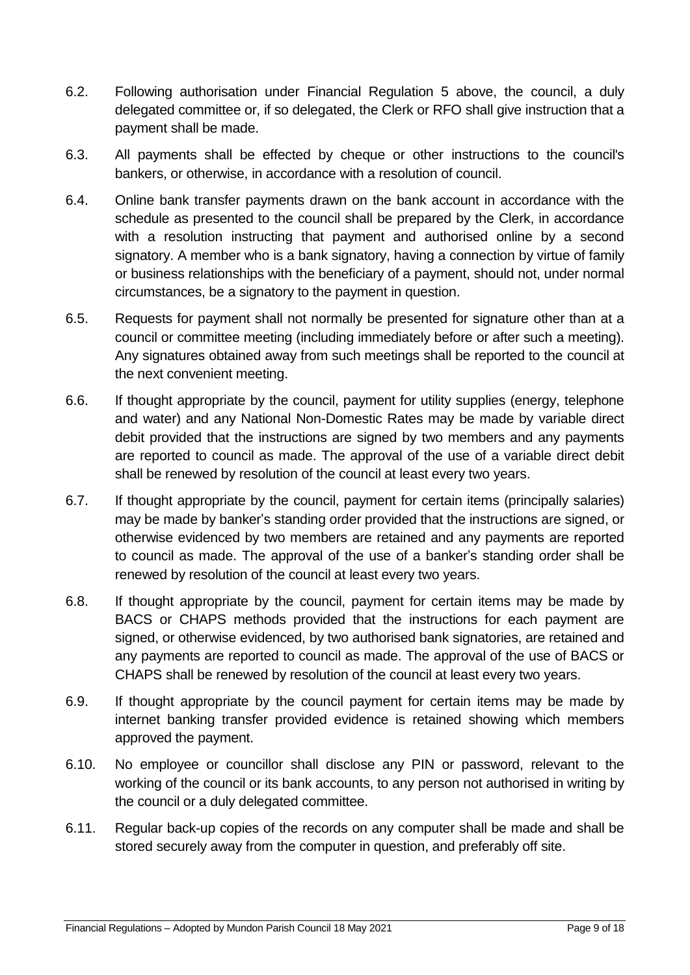- 6.2. Following authorisation under Financial Regulation 5 above, the council, a duly delegated committee or, if so delegated, the Clerk or RFO shall give instruction that a payment shall be made.
- 6.3. All payments shall be effected by cheque or other instructions to the council's bankers, or otherwise, in accordance with a resolution of council.
- 6.4. Online bank transfer payments drawn on the bank account in accordance with the schedule as presented to the council shall be prepared by the Clerk, in accordance with a resolution instructing that payment and authorised online by a second signatory. A member who is a bank signatory, having a connection by virtue of family or business relationships with the beneficiary of a payment, should not, under normal circumstances, be a signatory to the payment in question.
- 6.5. Requests for payment shall not normally be presented for signature other than at a council or committee meeting (including immediately before or after such a meeting). Any signatures obtained away from such meetings shall be reported to the council at the next convenient meeting.
- 6.6. If thought appropriate by the council, payment for utility supplies (energy, telephone and water) and any National Non-Domestic Rates may be made by variable direct debit provided that the instructions are signed by two members and any payments are reported to council as made. The approval of the use of a variable direct debit shall be renewed by resolution of the council at least every two years.
- 6.7. If thought appropriate by the council, payment for certain items (principally salaries) may be made by banker's standing order provided that the instructions are signed, or otherwise evidenced by two members are retained and any payments are reported to council as made. The approval of the use of a banker's standing order shall be renewed by resolution of the council at least every two years.
- 6.8. If thought appropriate by the council, payment for certain items may be made by BACS or CHAPS methods provided that the instructions for each payment are signed, or otherwise evidenced, by two authorised bank signatories, are retained and any payments are reported to council as made. The approval of the use of BACS or CHAPS shall be renewed by resolution of the council at least every two years.
- 6.9. If thought appropriate by the council payment for certain items may be made by internet banking transfer provided evidence is retained showing which members approved the payment.
- 6.10. No employee or councillor shall disclose any PIN or password, relevant to the working of the council or its bank accounts, to any person not authorised in writing by the council or a duly delegated committee.
- 6.11. Regular back-up copies of the records on any computer shall be made and shall be stored securely away from the computer in question, and preferably off site.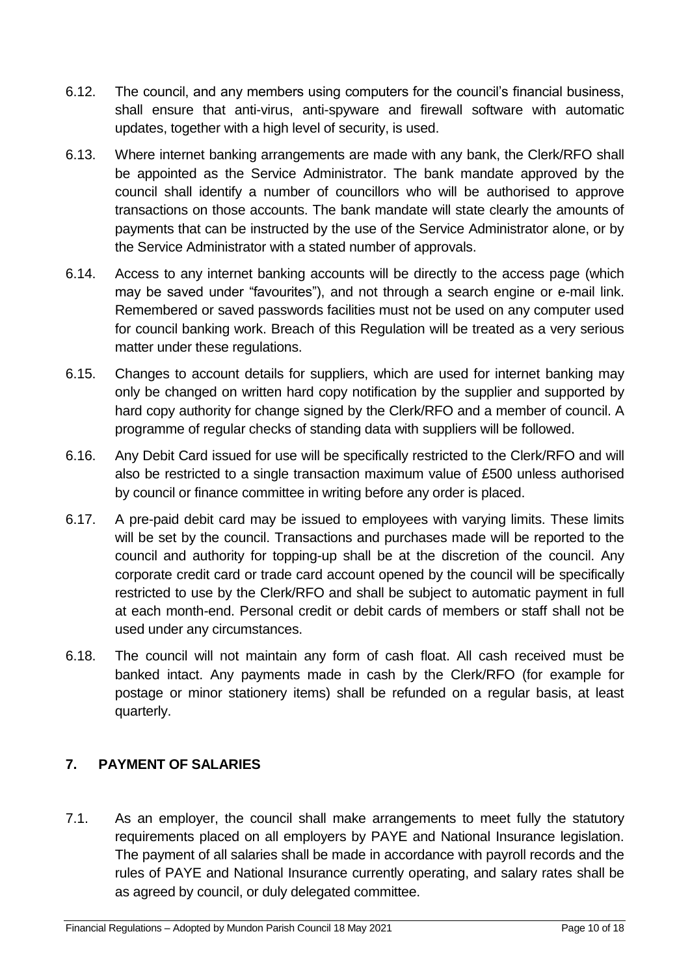- 6.12. The council, and any members using computers for the council's financial business, shall ensure that anti-virus, anti-spyware and firewall software with automatic updates, together with a high level of security, is used.
- 6.13. Where internet banking arrangements are made with any bank, the Clerk/RFO shall be appointed as the Service Administrator. The bank mandate approved by the council shall identify a number of councillors who will be authorised to approve transactions on those accounts. The bank mandate will state clearly the amounts of payments that can be instructed by the use of the Service Administrator alone, or by the Service Administrator with a stated number of approvals.
- 6.14. Access to any internet banking accounts will be directly to the access page (which may be saved under "favourites"), and not through a search engine or e-mail link. Remembered or saved passwords facilities must not be used on any computer used for council banking work. Breach of this Regulation will be treated as a very serious matter under these regulations.
- 6.15. Changes to account details for suppliers, which are used for internet banking may only be changed on written hard copy notification by the supplier and supported by hard copy authority for change signed by the Clerk/RFO and a member of council. A programme of regular checks of standing data with suppliers will be followed.
- 6.16. Any Debit Card issued for use will be specifically restricted to the Clerk/RFO and will also be restricted to a single transaction maximum value of £500 unless authorised by council or finance committee in writing before any order is placed.
- 6.17. A pre-paid debit card may be issued to employees with varying limits. These limits will be set by the council. Transactions and purchases made will be reported to the council and authority for topping-up shall be at the discretion of the council. Any corporate credit card or trade card account opened by the council will be specifically restricted to use by the Clerk/RFO and shall be subject to automatic payment in full at each month-end. Personal credit or debit cards of members or staff shall not be used under any circumstances.
- 6.18. The council will not maintain any form of cash float. All cash received must be banked intact. Any payments made in cash by the Clerk/RFO (for example for postage or minor stationery items) shall be refunded on a regular basis, at least quarterly.

## <span id="page-9-0"></span>**7. PAYMENT OF SALARIES**

7.1. As an employer, the council shall make arrangements to meet fully the statutory requirements placed on all employers by PAYE and National Insurance legislation. The payment of all salaries shall be made in accordance with payroll records and the rules of PAYE and National Insurance currently operating, and salary rates shall be as agreed by council, or duly delegated committee.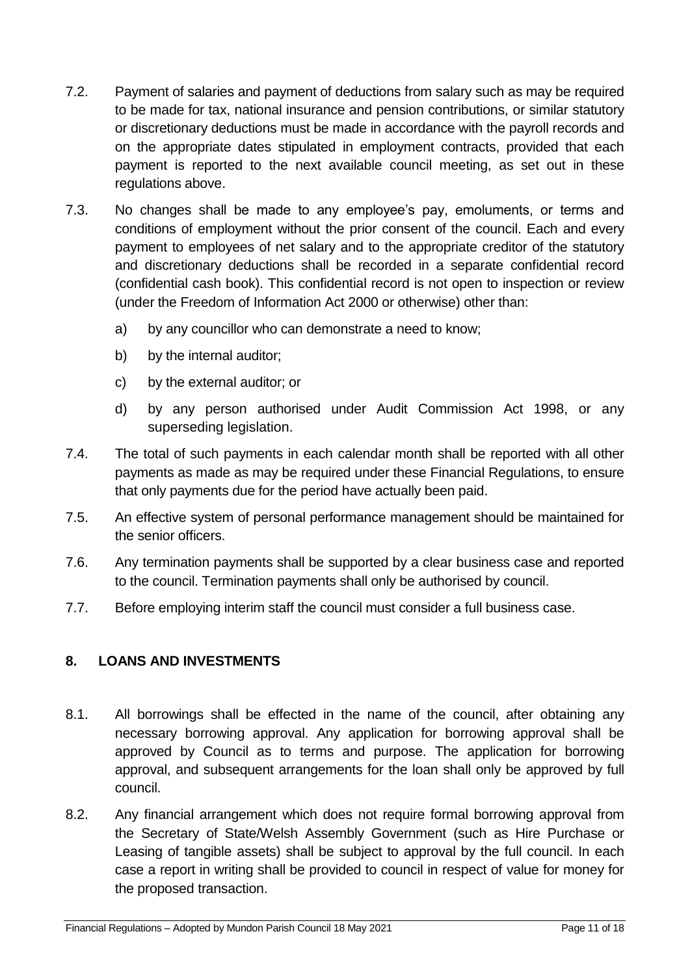- 7.2. Payment of salaries and payment of deductions from salary such as may be required to be made for tax, national insurance and pension contributions, or similar statutory or discretionary deductions must be made in accordance with the payroll records and on the appropriate dates stipulated in employment contracts, provided that each payment is reported to the next available council meeting, as set out in these regulations above.
- 7.3. No changes shall be made to any employee's pay, emoluments, or terms and conditions of employment without the prior consent of the council. Each and every payment to employees of net salary and to the appropriate creditor of the statutory and discretionary deductions shall be recorded in a separate confidential record (confidential cash book). This confidential record is not open to inspection or review (under the Freedom of Information Act 2000 or otherwise) other than:
	- a) by any councillor who can demonstrate a need to know;
	- b) by the internal auditor;
	- c) by the external auditor; or
	- d) by any person authorised under Audit Commission Act 1998, or any superseding legislation.
- 7.4. The total of such payments in each calendar month shall be reported with all other payments as made as may be required under these Financial Regulations, to ensure that only payments due for the period have actually been paid.
- 7.5. An effective system of personal performance management should be maintained for the senior officers.
- 7.6. Any termination payments shall be supported by a clear business case and reported to the council. Termination payments shall only be authorised by council.
- 7.7. Before employing interim staff the council must consider a full business case.

## <span id="page-10-0"></span>**8. LOANS AND INVESTMENTS**

- 8.1. All borrowings shall be effected in the name of the council, after obtaining any necessary borrowing approval. Any application for borrowing approval shall be approved by Council as to terms and purpose. The application for borrowing approval, and subsequent arrangements for the loan shall only be approved by full council.
- 8.2. Any financial arrangement which does not require formal borrowing approval from the Secretary of State/Welsh Assembly Government (such as Hire Purchase or Leasing of tangible assets) shall be subject to approval by the full council. In each case a report in writing shall be provided to council in respect of value for money for the proposed transaction.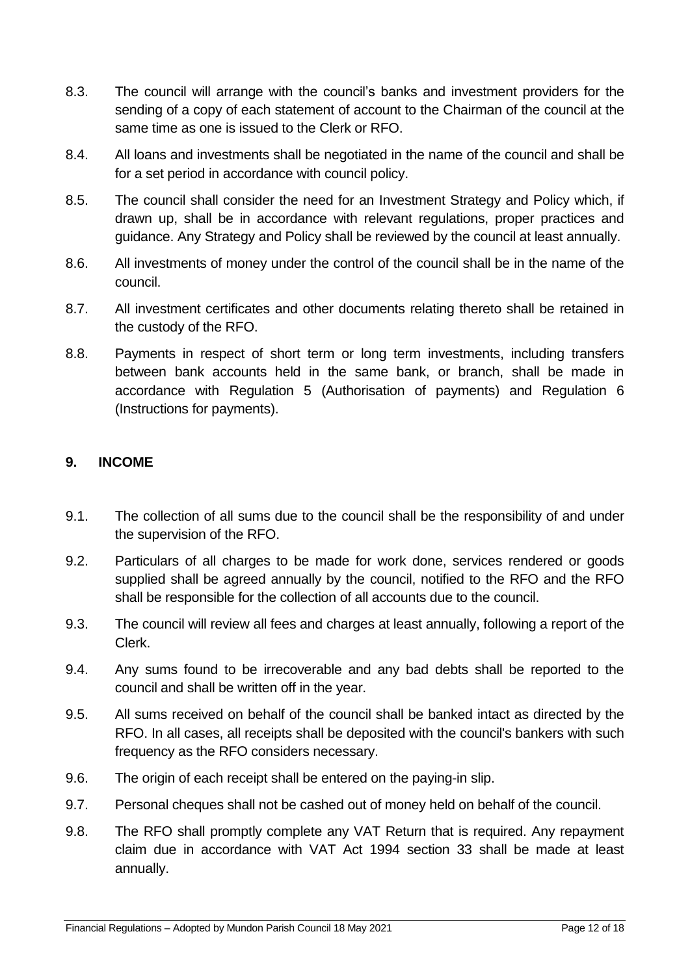- 8.3. The council will arrange with the council's banks and investment providers for the sending of a copy of each statement of account to the Chairman of the council at the same time as one is issued to the Clerk or RFO.
- 8.4. All loans and investments shall be negotiated in the name of the council and shall be for a set period in accordance with council policy.
- 8.5. The council shall consider the need for an Investment Strategy and Policy which, if drawn up, shall be in accordance with relevant regulations, proper practices and guidance. Any Strategy and Policy shall be reviewed by the council at least annually.
- 8.6. All investments of money under the control of the council shall be in the name of the council.
- 8.7. All investment certificates and other documents relating thereto shall be retained in the custody of the RFO.
- 8.8. Payments in respect of short term or long term investments, including transfers between bank accounts held in the same bank, or branch, shall be made in accordance with Regulation 5 (Authorisation of payments) and Regulation 6 (Instructions for payments).

#### <span id="page-11-0"></span>**9. INCOME**

- 9.1. The collection of all sums due to the council shall be the responsibility of and under the supervision of the RFO.
- 9.2. Particulars of all charges to be made for work done, services rendered or goods supplied shall be agreed annually by the council, notified to the RFO and the RFO shall be responsible for the collection of all accounts due to the council.
- 9.3. The council will review all fees and charges at least annually, following a report of the Clerk.
- 9.4. Any sums found to be irrecoverable and any bad debts shall be reported to the council and shall be written off in the year.
- 9.5. All sums received on behalf of the council shall be banked intact as directed by the RFO. In all cases, all receipts shall be deposited with the council's bankers with such frequency as the RFO considers necessary.
- 9.6. The origin of each receipt shall be entered on the paying-in slip.
- 9.7. Personal cheques shall not be cashed out of money held on behalf of the council.
- 9.8. The RFO shall promptly complete any VAT Return that is required. Any repayment claim due in accordance with VAT Act 1994 section 33 shall be made at least annually.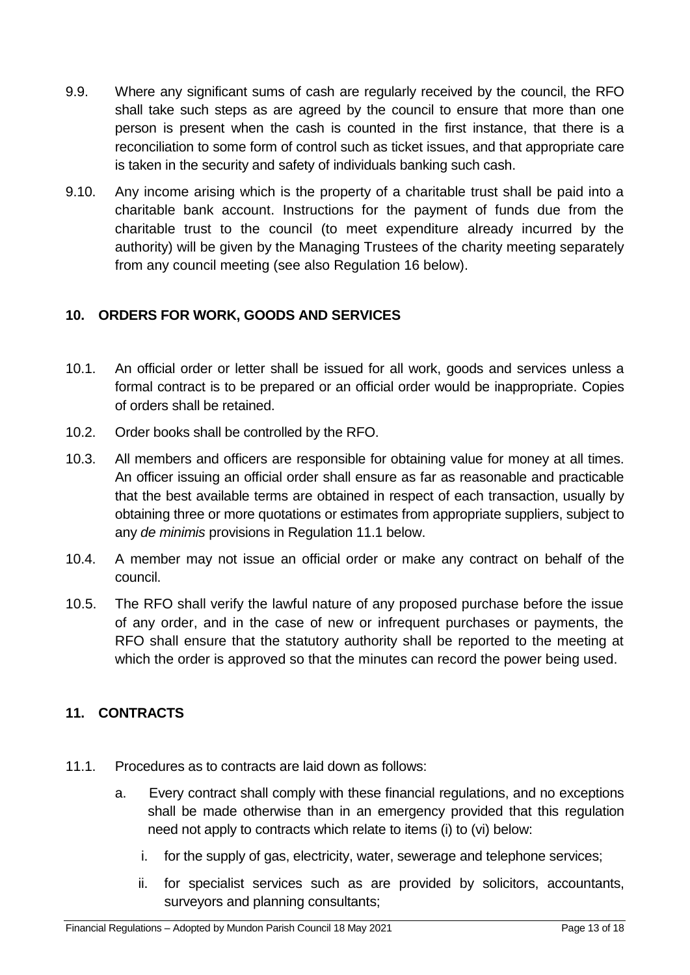- 9.9. Where any significant sums of cash are regularly received by the council, the RFO shall take such steps as are agreed by the council to ensure that more than one person is present when the cash is counted in the first instance, that there is a reconciliation to some form of control such as ticket issues, and that appropriate care is taken in the security and safety of individuals banking such cash.
- 9.10. Any income arising which is the property of a charitable trust shall be paid into a charitable bank account. Instructions for the payment of funds due from the charitable trust to the council (to meet expenditure already incurred by the authority) will be given by the Managing Trustees of the charity meeting separately from any council meeting (see also Regulation 16 below).

## <span id="page-12-0"></span>**10. ORDERS FOR WORK, GOODS AND SERVICES**

- 10.1. An official order or letter shall be issued for all work, goods and services unless a formal contract is to be prepared or an official order would be inappropriate. Copies of orders shall be retained.
- 10.2. Order books shall be controlled by the RFO.
- 10.3. All members and officers are responsible for obtaining value for money at all times. An officer issuing an official order shall ensure as far as reasonable and practicable that the best available terms are obtained in respect of each transaction, usually by obtaining three or more quotations or estimates from appropriate suppliers, subject to any *de minimis* provisions in Regulation 11.1 below.
- 10.4. A member may not issue an official order or make any contract on behalf of the council.
- 10.5. The RFO shall verify the lawful nature of any proposed purchase before the issue of any order, and in the case of new or infrequent purchases or payments, the RFO shall ensure that the statutory authority shall be reported to the meeting at which the order is approved so that the minutes can record the power being used.

## <span id="page-12-1"></span>**11. CONTRACTS**

- 11.1. Procedures as to contracts are laid down as follows:
	- a. Every contract shall comply with these financial regulations, and no exceptions shall be made otherwise than in an emergency provided that this regulation need not apply to contracts which relate to items (i) to (vi) below:
		- i. for the supply of gas, electricity, water, sewerage and telephone services;
		- ii. for specialist services such as are provided by solicitors, accountants, surveyors and planning consultants;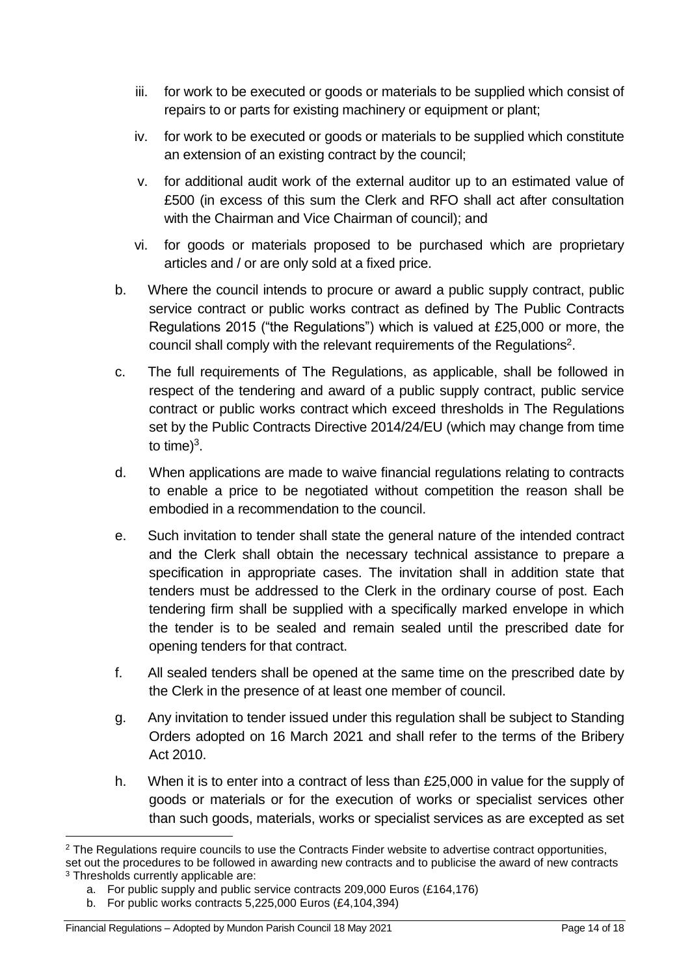- iii. for work to be executed or goods or materials to be supplied which consist of repairs to or parts for existing machinery or equipment or plant;
- iv. for work to be executed or goods or materials to be supplied which constitute an extension of an existing contract by the council;
- v. for additional audit work of the external auditor up to an estimated value of £500 (in excess of this sum the Clerk and RFO shall act after consultation with the Chairman and Vice Chairman of council); and
- vi. for goods or materials proposed to be purchased which are proprietary articles and / or are only sold at a fixed price.
- b. Where the council intends to procure or award a public supply contract, public service contract or public works contract as defined by The Public Contracts Regulations 2015 ("the Regulations") which is valued at £25,000 or more, the council shall comply with the relevant requirements of the Regulations<sup>2</sup>.
- c. The full requirements of The Regulations, as applicable, shall be followed in respect of the tendering and award of a public supply contract, public service contract or public works contract which exceed thresholds in The Regulations set by the Public Contracts Directive 2014/24/EU (which may change from time to time) $3$ .
- d. When applications are made to waive financial regulations relating to contracts to enable a price to be negotiated without competition the reason shall be embodied in a recommendation to the council.
- e. Such invitation to tender shall state the general nature of the intended contract and the Clerk shall obtain the necessary technical assistance to prepare a specification in appropriate cases. The invitation shall in addition state that tenders must be addressed to the Clerk in the ordinary course of post. Each tendering firm shall be supplied with a specifically marked envelope in which the tender is to be sealed and remain sealed until the prescribed date for opening tenders for that contract.
- f. All sealed tenders shall be opened at the same time on the prescribed date by the Clerk in the presence of at least one member of council.
- g. Any invitation to tender issued under this regulation shall be subject to Standing Orders adopted on 16 March 2021 and shall refer to the terms of the Bribery Act 2010.
- h. When it is to enter into a contract of less than £25,000 in value for the supply of goods or materials or for the execution of works or specialist services other than such goods, materials, works or specialist services as are excepted as set

<sup>1</sup> <sup>2</sup> The Regulations require councils to use the Contracts Finder website to advertise contract opportunities, set out the procedures to be followed in awarding new contracts and to publicise the award of new contracts <sup>3</sup> Thresholds currently applicable are:

a. For public supply and public service contracts 209,000 Euros (£164,176)

b. For public works contracts 5,225,000 Euros (£4,104,394)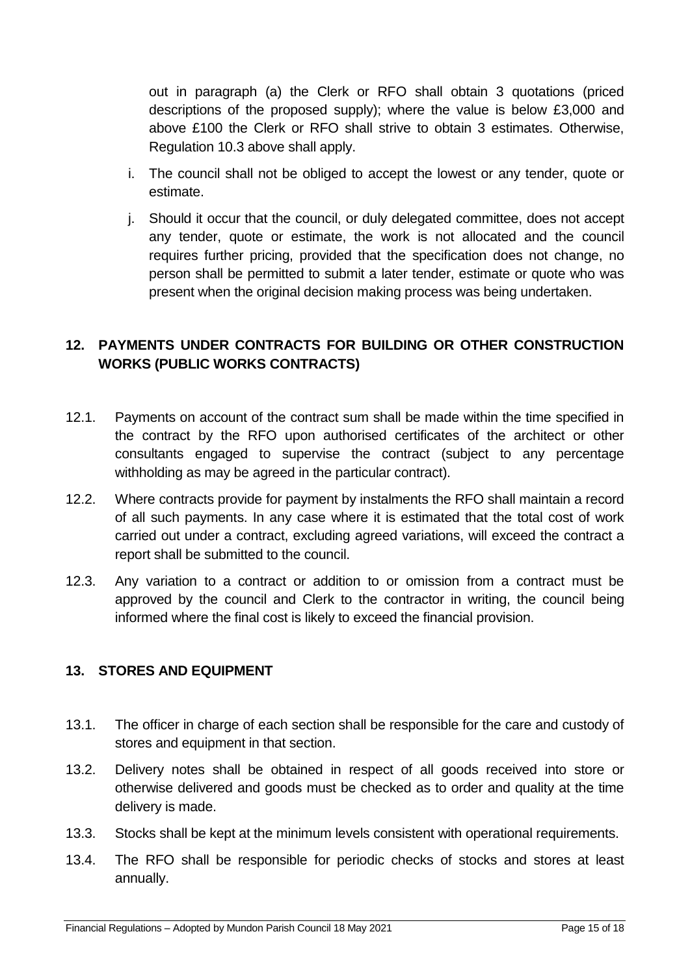out in paragraph (a) the Clerk or RFO shall obtain 3 quotations (priced descriptions of the proposed supply); where the value is below £3,000 and above £100 the Clerk or RFO shall strive to obtain 3 estimates. Otherwise, Regulation 10.3 above shall apply.

- i. The council shall not be obliged to accept the lowest or any tender, quote or estimate.
- j. Should it occur that the council, or duly delegated committee, does not accept any tender, quote or estimate, the work is not allocated and the council requires further pricing, provided that the specification does not change, no person shall be permitted to submit a later tender, estimate or quote who was present when the original decision making process was being undertaken.

## <span id="page-14-0"></span>**12. PAYMENTS UNDER CONTRACTS FOR BUILDING OR OTHER CONSTRUCTION WORKS (PUBLIC WORKS CONTRACTS)**

- 12.1. Payments on account of the contract sum shall be made within the time specified in the contract by the RFO upon authorised certificates of the architect or other consultants engaged to supervise the contract (subject to any percentage withholding as may be agreed in the particular contract).
- 12.2. Where contracts provide for payment by instalments the RFO shall maintain a record of all such payments. In any case where it is estimated that the total cost of work carried out under a contract, excluding agreed variations, will exceed the contract a report shall be submitted to the council.
- 12.3. Any variation to a contract or addition to or omission from a contract must be approved by the council and Clerk to the contractor in writing, the council being informed where the final cost is likely to exceed the financial provision.

## <span id="page-14-1"></span>**13. STORES AND EQUIPMENT**

- 13.1. The officer in charge of each section shall be responsible for the care and custody of stores and equipment in that section.
- 13.2. Delivery notes shall be obtained in respect of all goods received into store or otherwise delivered and goods must be checked as to order and quality at the time delivery is made.
- 13.3. Stocks shall be kept at the minimum levels consistent with operational requirements.
- 13.4. The RFO shall be responsible for periodic checks of stocks and stores at least annually.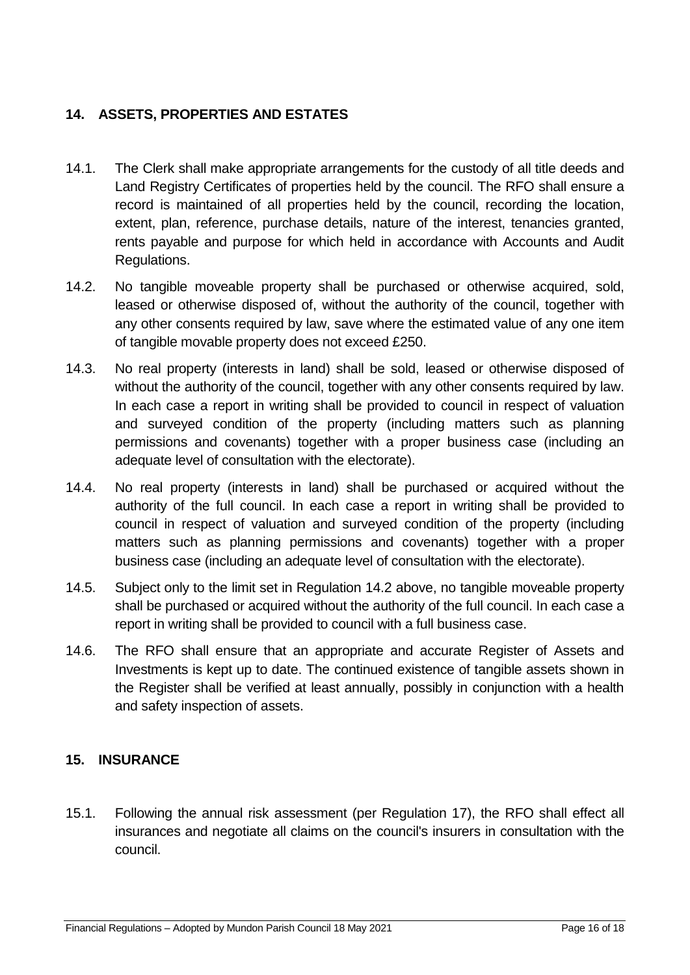## <span id="page-15-0"></span>**14. ASSETS, PROPERTIES AND ESTATES**

- 14.1. The Clerk shall make appropriate arrangements for the custody of all title deeds and Land Registry Certificates of properties held by the council. The RFO shall ensure a record is maintained of all properties held by the council, recording the location, extent, plan, reference, purchase details, nature of the interest, tenancies granted, rents payable and purpose for which held in accordance with Accounts and Audit Regulations.
- 14.2. No tangible moveable property shall be purchased or otherwise acquired, sold, leased or otherwise disposed of, without the authority of the council, together with any other consents required by law, save where the estimated value of any one item of tangible movable property does not exceed £250.
- 14.3. No real property (interests in land) shall be sold, leased or otherwise disposed of without the authority of the council, together with any other consents required by law. In each case a report in writing shall be provided to council in respect of valuation and surveyed condition of the property (including matters such as planning permissions and covenants) together with a proper business case (including an adequate level of consultation with the electorate).
- 14.4. No real property (interests in land) shall be purchased or acquired without the authority of the full council. In each case a report in writing shall be provided to council in respect of valuation and surveyed condition of the property (including matters such as planning permissions and covenants) together with a proper business case (including an adequate level of consultation with the electorate).
- 14.5. Subject only to the limit set in Regulation 14.2 above, no tangible moveable property shall be purchased or acquired without the authority of the full council. In each case a report in writing shall be provided to council with a full business case.
- 14.6. The RFO shall ensure that an appropriate and accurate Register of Assets and Investments is kept up to date. The continued existence of tangible assets shown in the Register shall be verified at least annually, possibly in conjunction with a health and safety inspection of assets.

## <span id="page-15-1"></span>**15. INSURANCE**

15.1. Following the annual risk assessment (per Regulation 17), the RFO shall effect all insurances and negotiate all claims on the council's insurers in consultation with the council.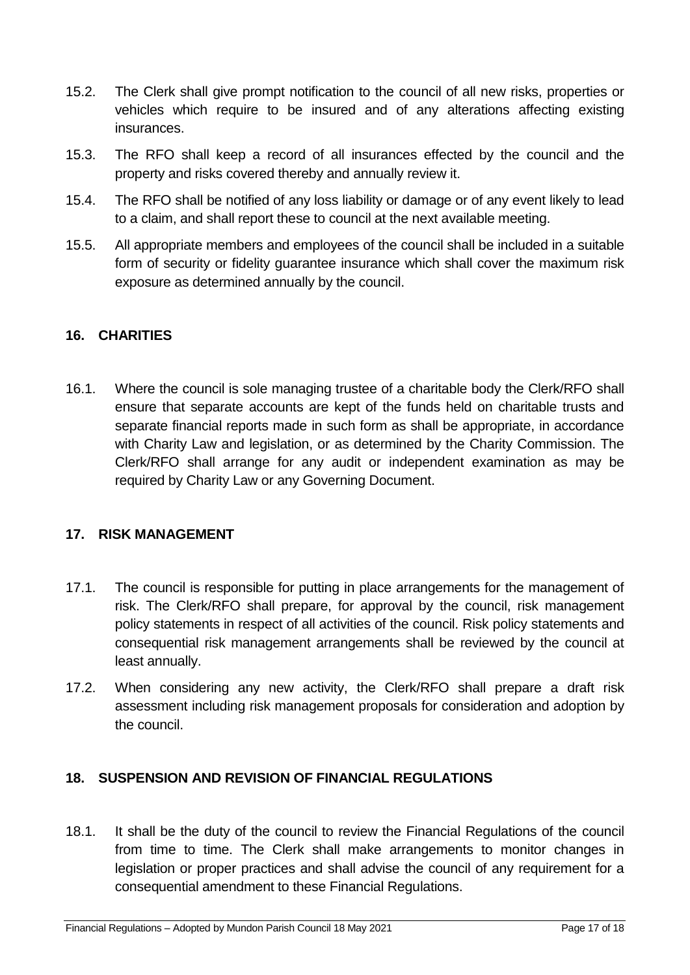- 15.2. The Clerk shall give prompt notification to the council of all new risks, properties or vehicles which require to be insured and of any alterations affecting existing insurances.
- 15.3. The RFO shall keep a record of all insurances effected by the council and the property and risks covered thereby and annually review it.
- 15.4. The RFO shall be notified of any loss liability or damage or of any event likely to lead to a claim, and shall report these to council at the next available meeting.
- 15.5. All appropriate members and employees of the council shall be included in a suitable form of security or fidelity guarantee insurance which shall cover the maximum risk exposure as determined annually by the council.

## <span id="page-16-0"></span>**16. CHARITIES**

16.1. Where the council is sole managing trustee of a charitable body the Clerk/RFO shall ensure that separate accounts are kept of the funds held on charitable trusts and separate financial reports made in such form as shall be appropriate, in accordance with Charity Law and legislation, or as determined by the Charity Commission. The Clerk/RFO shall arrange for any audit or independent examination as may be required by Charity Law or any Governing Document.

#### <span id="page-16-1"></span>**17. RISK MANAGEMENT**

- 17.1. The council is responsible for putting in place arrangements for the management of risk. The Clerk/RFO shall prepare, for approval by the council, risk management policy statements in respect of all activities of the council. Risk policy statements and consequential risk management arrangements shall be reviewed by the council at least annually.
- 17.2. When considering any new activity, the Clerk/RFO shall prepare a draft risk assessment including risk management proposals for consideration and adoption by the council.

#### <span id="page-16-2"></span>**18. SUSPENSION AND REVISION OF FINANCIAL REGULATIONS**

18.1. It shall be the duty of the council to review the Financial Regulations of the council from time to time. The Clerk shall make arrangements to monitor changes in legislation or proper practices and shall advise the council of any requirement for a consequential amendment to these Financial Regulations.